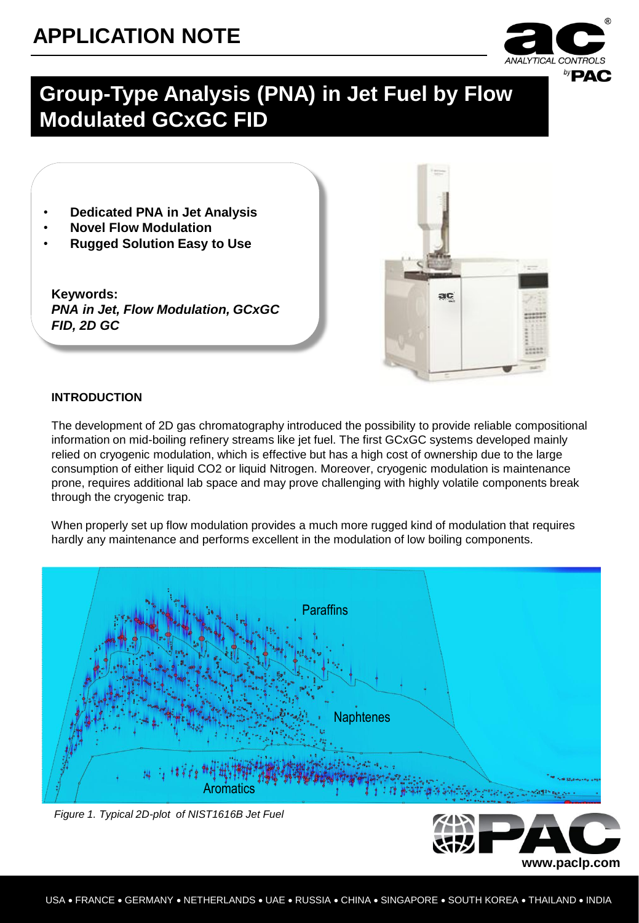## **APPLICATION NOTE**



**www.paclp.com**

# **Group-Type Analysis (PNA) in Jet Fuel by Flow Modulated GCxGC FID**

- **Dedicated PNA in Jet Analysis**
- **Novel Flow Modulation**
- **Rugged Solution Easy to Use**

**Keywords:** *PNA in Jet, Flow Modulation, GCxGC FID, 2D GC*



### **INTRODUCTION**

The development of 2D gas chromatography introduced the possibility to provide reliable compositional information on mid-boiling refinery streams like jet fuel. The first GCxGC systems developed mainly relied on cryogenic modulation, which is effective but has a high cost of ownership due to the large consumption of either liquid CO2 or liquid Nitrogen. Moreover, cryogenic modulation is maintenance prone, requires additional lab space and may prove challenging with highly volatile components break through the cryogenic trap.

When properly set up flow modulation provides a much more rugged kind of modulation that requires hardly any maintenance and performs excellent in the modulation of low boiling components.

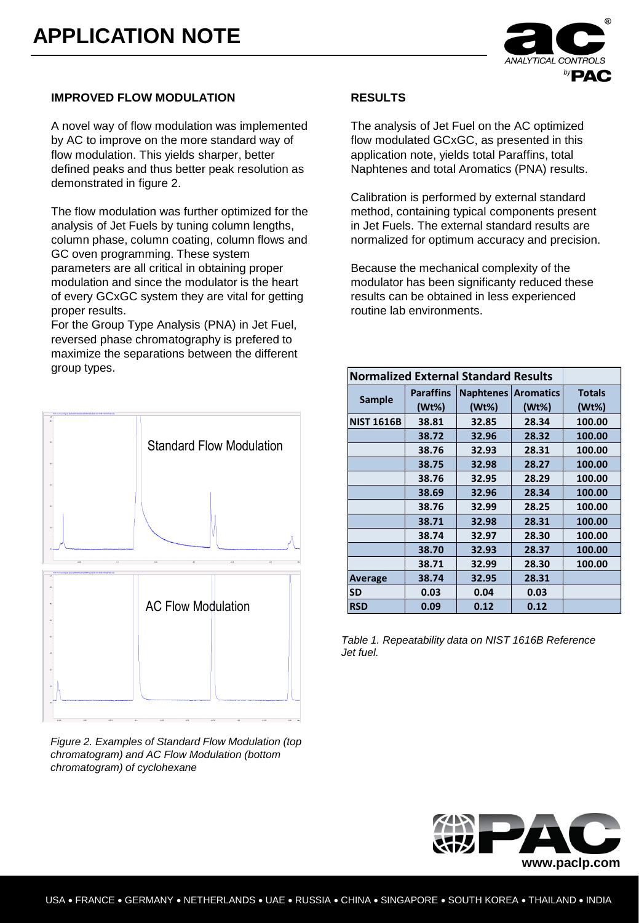

### **IMPROVED FLOW MODULATION**

A novel way of flow modulation was implemented by AC to improve on the more standard way of flow modulation. This yields sharper, better defined peaks and thus better peak resolution as demonstrated in figure 2.

The flow modulation was further optimized for the analysis of Jet Fuels by tuning column lengths, column phase, column coating, column flows and GC oven programming. These system parameters are all critical in obtaining proper modulation and since the modulator is the heart of every GCxGC system they are vital for getting proper results.

For the Group Type Analysis (PNA) in Jet Fuel, reversed phase chromatography is prefered to maximize the separations between the different group types.



*Figure 2. Examples of Standard Flow Modulation (top chromatogram) and AC Flow Modulation (bottom chromatogram) of cyclohexane*

#### **RESULTS**

The analysis of Jet Fuel on the AC optimized flow modulated GCxGC, as presented in this application note, yields total Paraffins, total Naphtenes and total Aromatics (PNA) results.

Calibration is performed by external standard method, containing typical components present in Jet Fuels. The external standard results are normalized for optimum accuracy and precision.

Because the mechanical complexity of the modulator has been significanty reduced these results can be obtained in less experienced routine lab environments.

| <b>Normalized External Standard Results</b> |                  |                            |          |               |
|---------------------------------------------|------------------|----------------------------|----------|---------------|
| <b>Sample</b>                               | <b>Paraffins</b> | <b>Naphtenes Aromatics</b> |          | <b>Totals</b> |
|                                             | $(Wt\%)$         | $(Wt\%)$                   | $(Wt\%)$ | $(Wt\%)$      |
| <b>NIST 1616B</b>                           | 38.81            | 32.85                      | 28.34    | 100.00        |
|                                             | 38.72            | 32.96                      | 28.32    | 100.00        |
|                                             | 38.76            | 32.93                      | 28.31    | 100.00        |
|                                             | 38.75            | 32.98                      | 28.27    | 100.00        |
|                                             | 38.76            | 32.95                      | 28.29    | 100.00        |
|                                             | 38.69            | 32.96                      | 28.34    | 100.00        |
|                                             | 38.76            | 32.99                      | 28.25    | 100.00        |
|                                             | 38.71            | 32.98                      | 28.31    | 100.00        |
|                                             | 38.74            | 32.97                      | 28.30    | 100.00        |
|                                             | 38.70            | 32.93                      | 28.37    | 100.00        |
|                                             | 38.71            | 32.99                      | 28.30    | 100.00        |
| Average                                     | 38.74            | 32.95                      | 28.31    |               |
| <b>SD</b>                                   | 0.03             | 0.04                       | 0.03     |               |
| <b>RSD</b>                                  | 0.09             | 0.12                       | 0.12     |               |

*Table 1. Repeatability data on NIST 1616B Reference Jet fuel.*